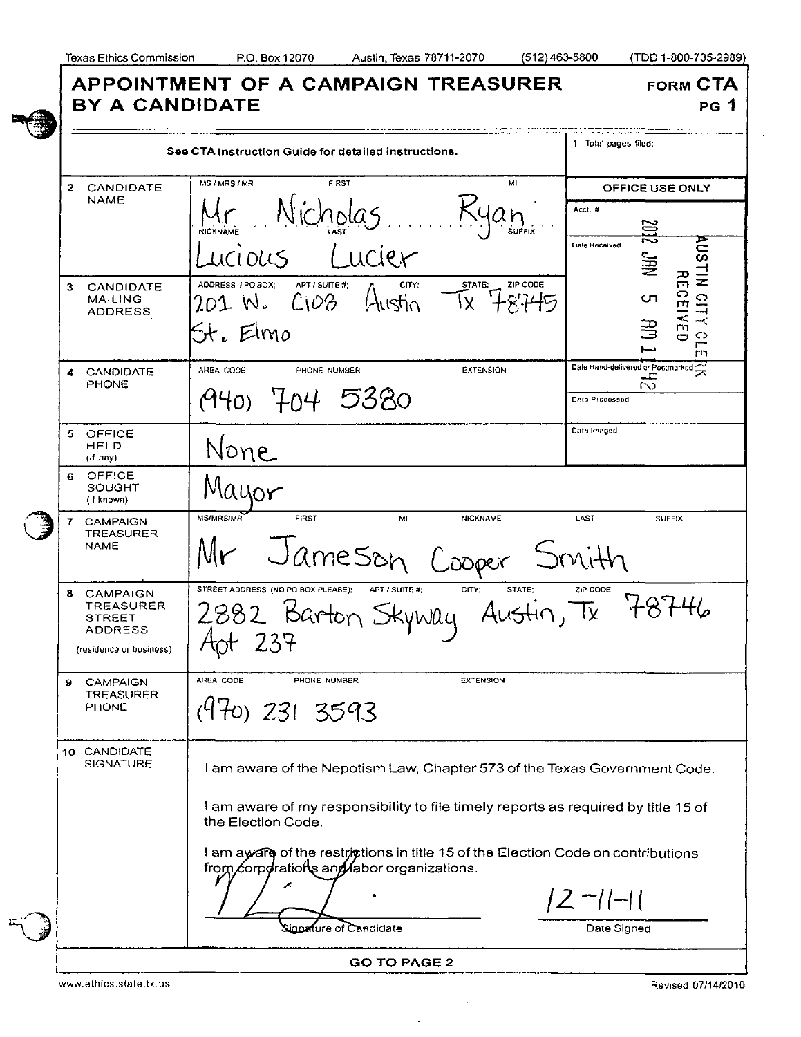|  | <b>BY A CANDIDATE</b>                                                                     | APPOINTMENT OF A CAMPAIGN TREASURER                                                                                                 | <b>FORM CTA</b><br>PG 1                                                                       |  |
|--|-------------------------------------------------------------------------------------------|-------------------------------------------------------------------------------------------------------------------------------------|-----------------------------------------------------------------------------------------------|--|
|  | See CTA Instruction Guide for detailed instructions.                                      |                                                                                                                                     | 1 Total pages filed:                                                                          |  |
|  | $\mathbf{2}$<br>CANDIDATE<br>NAME                                                         | MI<br>MS / MRS / MR<br><b>FIRST</b><br>Nicholas<br><b>NICKNAME</b><br><b>SUFFIX</b><br>Lucier<br>LICIOLIS                           | <b>OFFICE USE ONLY</b><br>Acct. #<br>ZOZ<br><b>AUSTIN</b><br>Date Received<br>NЫ <sup>2</sup> |  |
|  | CANDIDATE<br>3.<br><b>MAILING</b><br><b>ADDRESS</b>                                       | ADDRESS / PO BOX;<br>APT / SUITE #<br>STATE;<br>ZIP CODE<br>CITY.<br>$A$ istin<br>$C_1D_0$<br>201 W.<br>X.<br>St. Elmo              | 유<br>CEIVED<br>$\overline{\square}$<br>CΠ<br>$-\epsilon$<br>∃<br>C)<br>m                      |  |
|  | CANDIDATE<br>4.<br><b>PHONE</b>                                                           | AREA CODE<br><b>EXTENSION</b><br>PHONE NUMBER<br>A40) 704 5380                                                                      | Date Hand-delivered or Postmarked<br>ブ<br>ᅩ<br>$\sim$<br>Date Processed                       |  |
|  | 5 OFFICE<br>HELD<br>(if any)                                                              | None                                                                                                                                | Date Imaged                                                                                   |  |
|  | <b>OFFICE</b><br>6.<br>SOUGHT<br>(if known)                                               | Mayor                                                                                                                               |                                                                                               |  |
|  | 7<br><b>CAMPAIGN</b><br>TREASURER<br><b>NAME</b>                                          | <b>MS/MRS/MR</b><br>FIRST<br>M<br><b>NICKNAME</b><br>LAST<br><b>SUFFIX</b><br>Jameson Cooper<br>Smith                               |                                                                                               |  |
|  | CAMPAIGN<br>8.<br><b>TREASURER</b><br>STREET<br><b>ADDRESS</b><br>(residence or business) | STREET ADDRESS (NO PO BOX PLEASE);<br>APT / SUITE #:<br>CITY:<br>STATE:<br>ZIP CODE<br>Austin, Tx 787<br>2.882 Barton Skyway        |                                                                                               |  |
|  | <b>CAMPAIGN</b><br>9<br>TREASURER<br><b>PHONE</b>                                         | AREA CODE<br>PHONE NUMBER<br><b>EXTENSION</b><br>$(970)$ 231 3593                                                                   |                                                                                               |  |
|  | 10 CANDIDATE<br><b>SIGNATURE</b>                                                          | I am aware of the Nepotism Law, Chapter 573 of the Texas Government Code.                                                           |                                                                                               |  |
|  |                                                                                           | I am aware of my responsibility to file timely reports as required by title 15 of<br>the Election Code.                             |                                                                                               |  |
|  |                                                                                           | I am aware of the restrictions in title 15 of the Election Code on contributions<br>from corporations and abor organizations.<br>z, |                                                                                               |  |
|  |                                                                                           | ire of Candidate                                                                                                                    | $ 2 - 1  - 1 $<br>Date Signed                                                                 |  |
|  | <b>GO TO PAGE 2</b>                                                                       |                                                                                                                                     |                                                                                               |  |

 $\mathcal{A}$ 

 $\hat{\mathbf{v}}$ 

www.ethics.state.tx.us

 $\bar{z}$ 

Revised 07/14/2010